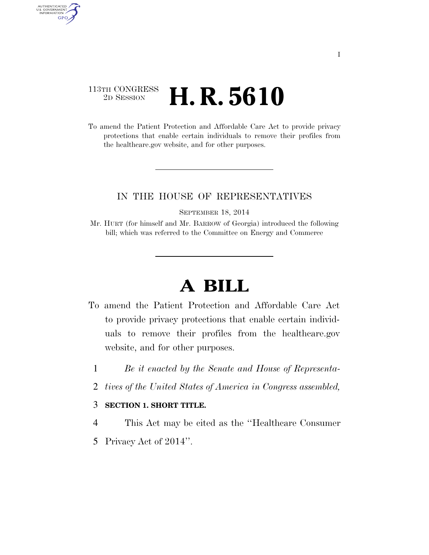## 113TH CONGRESS <sup>2D SESSION</sup> **H. R. 5610**

AUTHENTICATED<br>U.S. GOVERNMENT<br>INFORMATION GPO

> To amend the Patient Protection and Affordable Care Act to provide privacy protections that enable certain individuals to remove their profiles from the healthcare.gov website, and for other purposes.

## IN THE HOUSE OF REPRESENTATIVES

SEPTEMBER 18, 2014

Mr. HURT (for himself and Mr. BARROW of Georgia) introduced the following bill; which was referred to the Committee on Energy and Commerce

## **A BILL**

- To amend the Patient Protection and Affordable Care Act to provide privacy protections that enable certain individuals to remove their profiles from the healthcare.gov website, and for other purposes.
	- 1 *Be it enacted by the Senate and House of Representa-*
	- 2 *tives of the United States of America in Congress assembled,*

## 3 **SECTION 1. SHORT TITLE.**

- 4 This Act may be cited as the ''Healthcare Consumer
- 5 Privacy Act of 2014''.